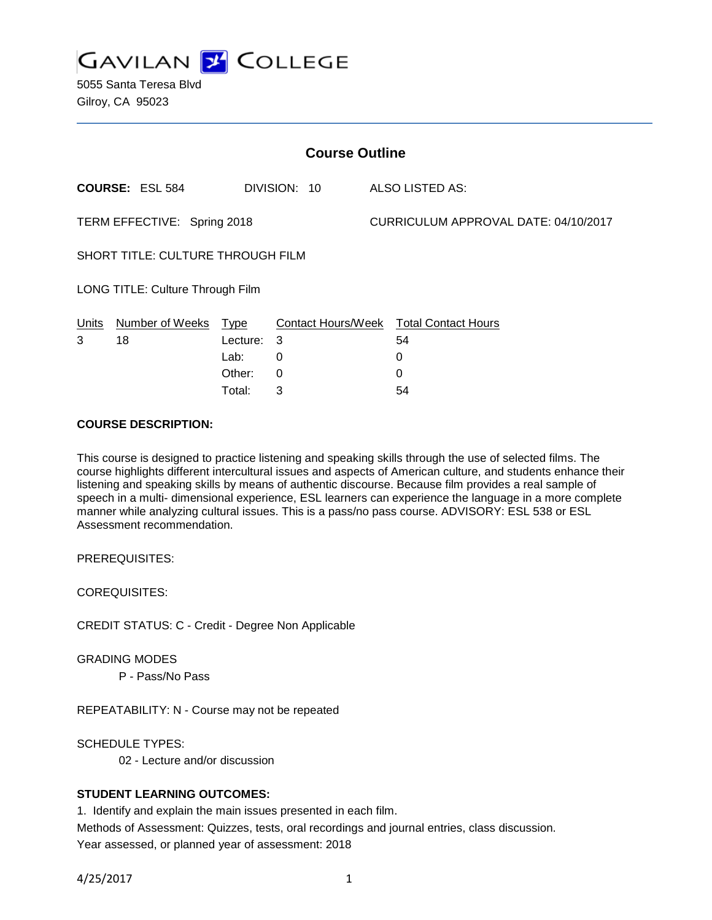

5055 Santa Teresa Blvd Gilroy, CA 95023

| <b>Course Outline</b>             |                        |             |              |                                      |                                        |
|-----------------------------------|------------------------|-------------|--------------|--------------------------------------|----------------------------------------|
|                                   | <b>COURSE: ESL 584</b> |             | DIVISION: 10 |                                      | ALSO LISTED AS:                        |
| TERM EFFECTIVE: Spring 2018       |                        |             |              | CURRICULUM APPROVAL DATE: 04/10/2017 |                                        |
| SHORT TITLE: CULTURE THROUGH FILM |                        |             |              |                                      |                                        |
| LONG TITLE: Culture Through Film  |                        |             |              |                                      |                                        |
| Units                             | Number of Weeks        | <u>Type</u> |              |                                      | Contact Hours/Week Total Contact Hours |
| 3                                 | 18                     | Lecture:    | 3            |                                      | 54                                     |
|                                   |                        | Lab:        | 0            |                                      | 0                                      |
|                                   |                        | Other:      | 0            |                                      | 0                                      |
|                                   |                        | Total:      | 3            |                                      | 54                                     |

## **COURSE DESCRIPTION:**

This course is designed to practice listening and speaking skills through the use of selected films. The course highlights different intercultural issues and aspects of American culture, and students enhance their listening and speaking skills by means of authentic discourse. Because film provides a real sample of speech in a multi- dimensional experience, ESL learners can experience the language in a more complete manner while analyzing cultural issues. This is a pass/no pass course. ADVISORY: ESL 538 or ESL Assessment recommendation.

PREREQUISITES:

COREQUISITES:

CREDIT STATUS: C - Credit - Degree Non Applicable

GRADING MODES

P - Pass/No Pass

REPEATABILITY: N - Course may not be repeated

SCHEDULE TYPES:

02 - Lecture and/or discussion

## **STUDENT LEARNING OUTCOMES:**

1. Identify and explain the main issues presented in each film.

Methods of Assessment: Quizzes, tests, oral recordings and journal entries, class discussion. Year assessed, or planned year of assessment: 2018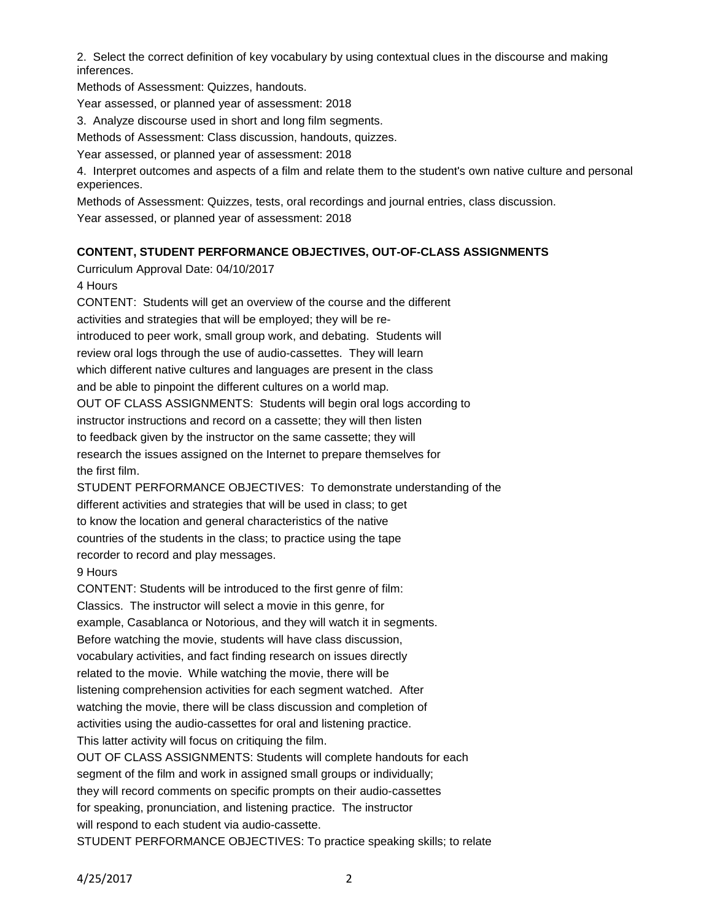2. Select the correct definition of key vocabulary by using contextual clues in the discourse and making inferences.

Methods of Assessment: Quizzes, handouts.

Year assessed, or planned year of assessment: 2018

3. Analyze discourse used in short and long film segments.

Methods of Assessment: Class discussion, handouts, quizzes.

Year assessed, or planned year of assessment: 2018

4. Interpret outcomes and aspects of a film and relate them to the student's own native culture and personal experiences.

Methods of Assessment: Quizzes, tests, oral recordings and journal entries, class discussion.

Year assessed, or planned year of assessment: 2018

## **CONTENT, STUDENT PERFORMANCE OBJECTIVES, OUT-OF-CLASS ASSIGNMENTS**

Curriculum Approval Date: 04/10/2017

## 4 Hours

CONTENT: Students will get an overview of the course and the different activities and strategies that will be employed; they will be reintroduced to peer work, small group work, and debating. Students will review oral logs through the use of audio-cassettes. They will learn which different native cultures and languages are present in the class and be able to pinpoint the different cultures on a world map. OUT OF CLASS ASSIGNMENTS: Students will begin oral logs according to instructor instructions and record on a cassette; they will then listen to feedback given by the instructor on the same cassette; they will research the issues assigned on the Internet to prepare themselves for the first film.

STUDENT PERFORMANCE OBJECTIVES: To demonstrate understanding of the different activities and strategies that will be used in class; to get to know the location and general characteristics of the native countries of the students in the class; to practice using the tape recorder to record and play messages.

## 9 Hours

CONTENT: Students will be introduced to the first genre of film: Classics. The instructor will select a movie in this genre, for example, Casablanca or Notorious, and they will watch it in segments. Before watching the movie, students will have class discussion, vocabulary activities, and fact finding research on issues directly related to the movie. While watching the movie, there will be listening comprehension activities for each segment watched. After watching the movie, there will be class discussion and completion of activities using the audio-cassettes for oral and listening practice. This latter activity will focus on critiquing the film. OUT OF CLASS ASSIGNMENTS: Students will complete handouts for each

segment of the film and work in assigned small groups or individually; they will record comments on specific prompts on their audio-cassettes for speaking, pronunciation, and listening practice. The instructor will respond to each student via audio-cassette.

STUDENT PERFORMANCE OBJECTIVES: To practice speaking skills; to relate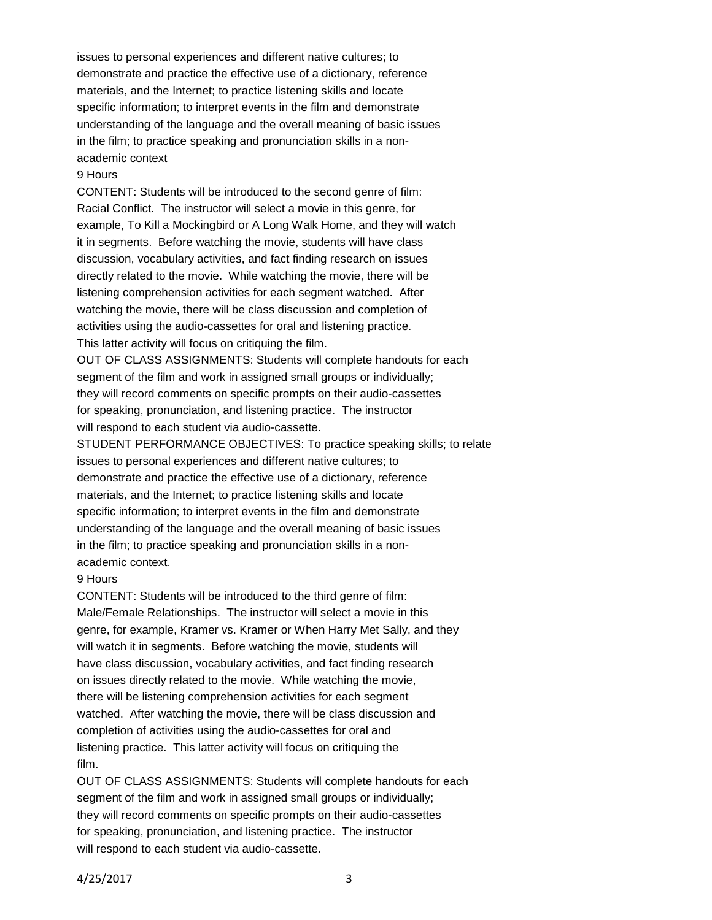issues to personal experiences and different native cultures; to demonstrate and practice the effective use of a dictionary, reference materials, and the Internet; to practice listening skills and locate specific information; to interpret events in the film and demonstrate understanding of the language and the overall meaning of basic issues in the film; to practice speaking and pronunciation skills in a nonacademic context

#### 9 Hours

CONTENT: Students will be introduced to the second genre of film: Racial Conflict. The instructor will select a movie in this genre, for example, To Kill a Mockingbird or A Long Walk Home, and they will watch it in segments. Before watching the movie, students will have class discussion, vocabulary activities, and fact finding research on issues directly related to the movie. While watching the movie, there will be listening comprehension activities for each segment watched. After watching the movie, there will be class discussion and completion of activities using the audio-cassettes for oral and listening practice. This latter activity will focus on critiquing the film.

OUT OF CLASS ASSIGNMENTS: Students will complete handouts for each segment of the film and work in assigned small groups or individually; they will record comments on specific prompts on their audio-cassettes for speaking, pronunciation, and listening practice. The instructor will respond to each student via audio-cassette.

STUDENT PERFORMANCE OBJECTIVES: To practice speaking skills; to relate issues to personal experiences and different native cultures; to demonstrate and practice the effective use of a dictionary, reference materials, and the Internet; to practice listening skills and locate specific information; to interpret events in the film and demonstrate understanding of the language and the overall meaning of basic issues in the film; to practice speaking and pronunciation skills in a nonacademic context.

#### 9 Hours

CONTENT: Students will be introduced to the third genre of film: Male/Female Relationships. The instructor will select a movie in this genre, for example, Kramer vs. Kramer or When Harry Met Sally, and they will watch it in segments. Before watching the movie, students will have class discussion, vocabulary activities, and fact finding research on issues directly related to the movie. While watching the movie, there will be listening comprehension activities for each segment watched. After watching the movie, there will be class discussion and completion of activities using the audio-cassettes for oral and listening practice. This latter activity will focus on critiquing the film.

OUT OF CLASS ASSIGNMENTS: Students will complete handouts for each segment of the film and work in assigned small groups or individually; they will record comments on specific prompts on their audio-cassettes for speaking, pronunciation, and listening practice. The instructor will respond to each student via audio-cassette.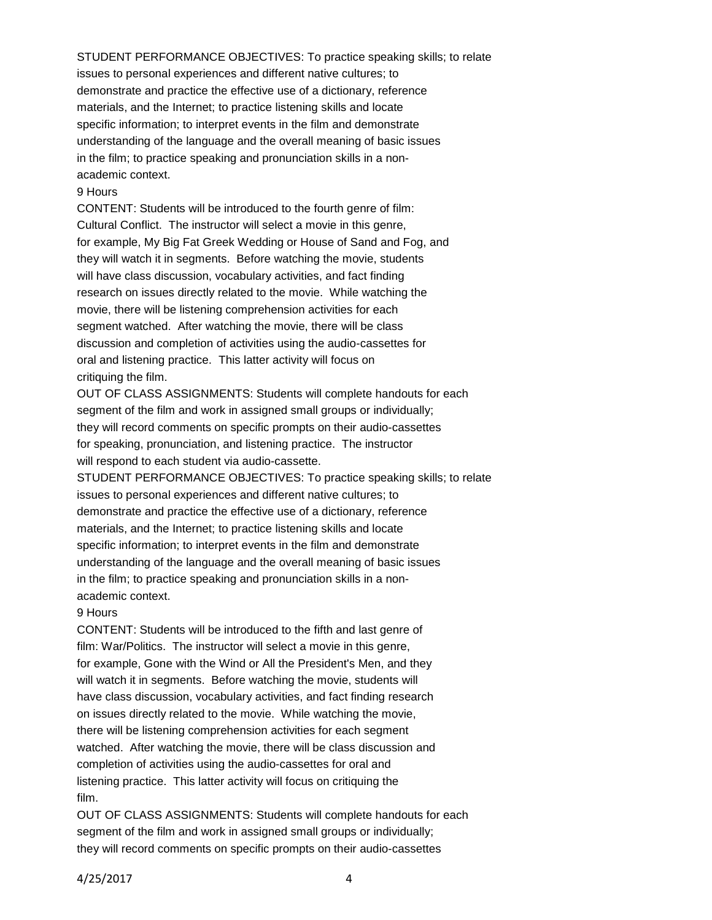STUDENT PERFORMANCE OBJECTIVES: To practice speaking skills; to relate issues to personal experiences and different native cultures; to demonstrate and practice the effective use of a dictionary, reference materials, and the Internet; to practice listening skills and locate specific information; to interpret events in the film and demonstrate understanding of the language and the overall meaning of basic issues in the film; to practice speaking and pronunciation skills in a nonacademic context.

### 9 Hours

CONTENT: Students will be introduced to the fourth genre of film: Cultural Conflict. The instructor will select a movie in this genre, for example, My Big Fat Greek Wedding or House of Sand and Fog, and they will watch it in segments. Before watching the movie, students will have class discussion, vocabulary activities, and fact finding research on issues directly related to the movie. While watching the movie, there will be listening comprehension activities for each segment watched. After watching the movie, there will be class discussion and completion of activities using the audio-cassettes for oral and listening practice. This latter activity will focus on critiquing the film.

OUT OF CLASS ASSIGNMENTS: Students will complete handouts for each segment of the film and work in assigned small groups or individually; they will record comments on specific prompts on their audio-cassettes for speaking, pronunciation, and listening practice. The instructor will respond to each student via audio-cassette.

STUDENT PERFORMANCE OBJECTIVES: To practice speaking skills; to relate issues to personal experiences and different native cultures; to demonstrate and practice the effective use of a dictionary, reference materials, and the Internet; to practice listening skills and locate specific information; to interpret events in the film and demonstrate understanding of the language and the overall meaning of basic issues in the film; to practice speaking and pronunciation skills in a nonacademic context.

#### 9 Hours

CONTENT: Students will be introduced to the fifth and last genre of film: War/Politics. The instructor will select a movie in this genre, for example, Gone with the Wind or All the President's Men, and they will watch it in segments. Before watching the movie, students will have class discussion, vocabulary activities, and fact finding research on issues directly related to the movie. While watching the movie, there will be listening comprehension activities for each segment watched. After watching the movie, there will be class discussion and completion of activities using the audio-cassettes for oral and listening practice. This latter activity will focus on critiquing the film.

OUT OF CLASS ASSIGNMENTS: Students will complete handouts for each segment of the film and work in assigned small groups or individually; they will record comments on specific prompts on their audio-cassettes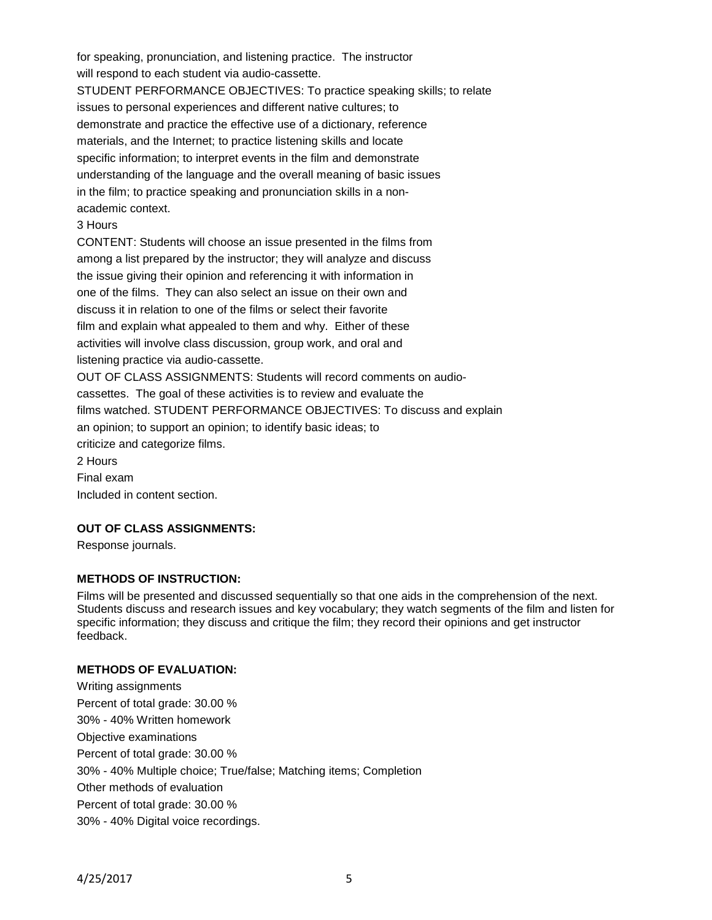for speaking, pronunciation, and listening practice. The instructor will respond to each student via audio-cassette. STUDENT PERFORMANCE OBJECTIVES: To practice speaking skills; to relate issues to personal experiences and different native cultures; to demonstrate and practice the effective use of a dictionary, reference materials, and the Internet; to practice listening skills and locate specific information; to interpret events in the film and demonstrate understanding of the language and the overall meaning of basic issues in the film; to practice speaking and pronunciation skills in a nonacademic context.

## 3 Hours

CONTENT: Students will choose an issue presented in the films from among a list prepared by the instructor; they will analyze and discuss the issue giving their opinion and referencing it with information in one of the films. They can also select an issue on their own and discuss it in relation to one of the films or select their favorite film and explain what appealed to them and why. Either of these activities will involve class discussion, group work, and oral and listening practice via audio-cassette.

OUT OF CLASS ASSIGNMENTS: Students will record comments on audiocassettes. The goal of these activities is to review and evaluate the films watched. STUDENT PERFORMANCE OBJECTIVES: To discuss and explain an opinion; to support an opinion; to identify basic ideas; to criticize and categorize films. 2 Hours Final exam

Included in content section.

# **OUT OF CLASS ASSIGNMENTS:**

Response journals.

## **METHODS OF INSTRUCTION:**

Films will be presented and discussed sequentially so that one aids in the comprehension of the next. Students discuss and research issues and key vocabulary; they watch segments of the film and listen for specific information; they discuss and critique the film; they record their opinions and get instructor feedback.

## **METHODS OF EVALUATION:**

Writing assignments Percent of total grade: 30.00 % 30% - 40% Written homework Objective examinations Percent of total grade: 30.00 % 30% - 40% Multiple choice; True/false; Matching items; Completion Other methods of evaluation Percent of total grade: 30.00 % 30% - 40% Digital voice recordings.